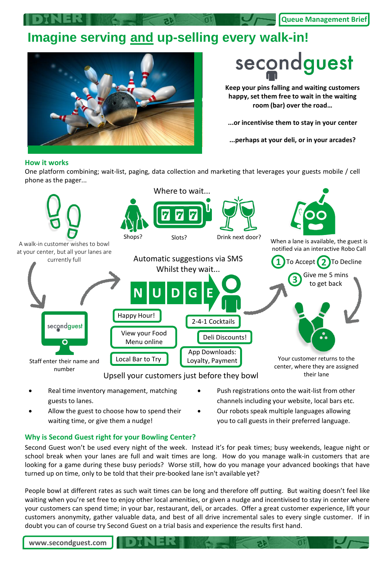**Queue Management Brief**

## **Imagine serving and up-selling every walk-in!**



## secondguest

**Keep your pins falling and waiting customers happy, set them free to wait in the waiting room (bar) over the road…**

**...or incentivise them to stay in your center**

**...perhaps at your deli, or in your arcades?**

## **How it works**

One platform combining; wait-list, paging, data collection and marketing that leverages your guests mobile / cell phone as the pager...



- Real time inventory management, matching guests to lanes.
- Allow the guest to choose how to spend their waiting time, or give them a nudge!
- Push registrations onto the wait-list from other channels including your website, local bars etc.
- Our robots speak multiple languages allowing you to call guests in their preferred language.

## **Why is Second Guest right for your Bowling Center?**

Second Guest won't be used every night of the week. Instead it's for peak times; busy weekends, league night or school break when your lanes are full and wait times are long. How do you manage walk-in customers that are looking for a game during these busy periods? Worse still, how do you manage your advanced bookings that have turned up on time, only to be told that their pre-booked lane isn't available yet?

People bowl at different rates as such wait times can be long and therefore off putting. But waiting doesn't feel like waiting when you're set free to enjoy other local amenities, or given a nudge and incentivised to stay in center where your customers can spend time; in your bar, restaurant, deli, or arcades. Offer a great customer experience, lift your customers anonymity, gather valuable data, and best of all drive incremental sales to every single customer. If in doubt you can of course try Second Guest on a trial basis and experience the results first hand.